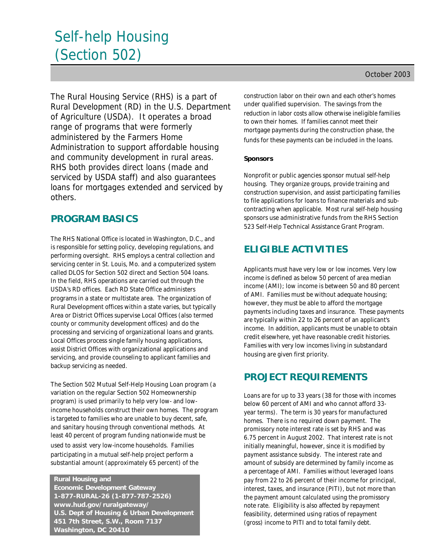# Self-help Housing (Section 502)

The Rural Housing Service (RHS) is a part of Rural Development (RD) in the U.S. Department of Agriculture (USDA). It operates a broad range of programs that were formerly administered by the Farmers Home Administration to support affordable housing and community development in rural areas. RHS both provides direct loans (made and serviced by USDA staff) and also guarantees loans for mortgages extended and serviced by others.

## **PROGRAM BASICS**

The RHS National Office is located in Washington, D.C., and is responsible for setting policy, developing regulations, and performing oversight. RHS employs a central collection and servicing center in St. Louis, Mo. and a computerized system called DLOS for Section 502 direct and Section 504 loans. In the field, RHS operations are carried out through the USDA's RD offices. Each RD State Office administers programs in a state or multistate area. The organization of Rural Development offices within a state varies, but typically Area or District Offices supervise Local Offices (also termed county or community development offices) and do the processing and servicing of organizational loans and grants. Local Offices process single family housing applications, assist District Offices with organizational applications and servicing, and provide counseling to applicant families and backup servicing as needed.

The Section 502 Mutual Self-Help Housing Loan program (a variation on the regular Section 502 Homeownership program) is used primarily to help very low- and lowincome households construct their own homes. The program is targeted to families who are unable to buy decent, safe, and sanitary housing through conventional methods. At least 40 percent of program funding nationwide must be used to assist very low-income households. Families participating in a mutual self-help project perform a substantial amount (approximately 65 percent) of the

 **Rural Housing and Economic Development Gateway 1-877-RURAL-26 (1-877-787-2526) www.hud.gov/ruralgateway/ U.S. Dept of Housing & Urban Development 451 7th Street, S.W., Room 7137 Washington, DC 20410**

construction labor on their own and each other's homes under qualified supervision. The savings from the reduction in labor costs allow otherwise ineligible families to own their homes. If families cannot meet their mortgage payments during the construction phase, the funds for these payments can be included in the loans.

## *Sponsors*

Nonprofit or public agencies sponsor mutual self-help housing. They organize groups, provide training and construction supervision, and assist participating families to file applications for loans to finance materials and subcontracting when applicable. Most rural self-help housing sponsors use administrative funds from the RHS Section 523 Self-Help Technical Assistance Grant Program.

# **ELIGIBLE ACTIVITIES**

Applicants must have very low or low incomes. Very low income is defined as below 50 percent of area median income (AMI); low income is between 50 and 80 percent of AMI. Families must be without adequate housing; however, they must be able to afford the mortgage payments including taxes and insurance. These payments are typically within 22 to 26 percent of an applicant's income. In addition, applicants must be unable to obtain credit elsewhere, yet have reasonable credit histories. Families with very low incomes living in substandard housing are given first priority.

## **PROJECT REQUIREMENTS**

Loans are for up to 33 years (38 for those with incomes below 60 percent of AMI and who cannot afford 33 year terms). The term is 30 years for manufactured homes. There is no required down payment. The promissory note interest rate is set by RHS and was 6.75 percent in August 2002. That interest rate is not initially meaningful, however, since it is modified by payment assistance subsidy. The interest rate and amount of subsidy are determined by family income as a percentage of AMI. Families without leveraged loans pay from 22 to 26 percent of their income for principal, interest, taxes, and insurance (PITI), but not more than the payment amount calculated using the promissory note rate. Eligibility is also affected by repayment feasibility, determined using ratios of repayment (gross) income to PITI and to total family debt.